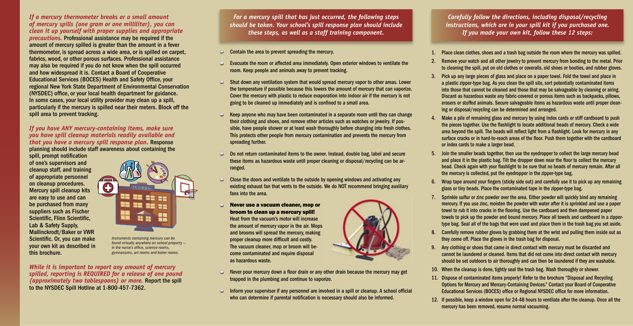*For a mercury spill that has just occurred, the following steps should be taken. Your school's spill response plan should include these steps, as well as a staff training component.*

- Contain the area to prevent spreading the mercury.
- Evacuate the room or affected area immediately. Open exterior windows to ventilate the room. Keep people and animals away to prevent tracking.
- Shut down any ventilation system that would spread mercury vapor to other areas. Lower the temperature if possible because this lowers the amount of mercury that can vaporize. Cover the mercury with plastic to reduce evaporation into indoor air if the mercury is not going to be cleaned up immediately and is confined to a small area.
- Keep anyone who may have been contaminated in a separate room until they can change their clothing and shoes, and remove other articles such as watches or jewelry. If possible, have people shower or at least wash thoroughly before changing into fresh clothes. This protects other people from mercury contamination and prevents the mercury from spreading further.
- Do not return contaminated items to the owner. Instead, double bag, label and secure these items as hazardous waste until proper cleaning or disposal/recycling can be arranged.
- Close the doors and ventilate to the outside by opening windows and activating any existing exhaust fan that vents to the outside. We do NOT recommend bringing auxiliary fans into the area.
- Never use a vacuum cleaner, mop or broom to clean up a mercury spill! Heat from the vacuum's motor will increase the amount of mercury vapor in the air. Mops and brooms will spread the mercury, making proper cleanup more difficult and costly. The vacuum cleaner, mop or broom will become contaminated and require disposal as hazardous waste.
- $\blacksquare$  Never pour mercury down a floor drain or any other drain because the mercury may get trapped in the plumbing and continue to vaporize.
- $\Box$  Inform your supervisor if any personnel are involved in a spill or cleanup. A school official who can determine if parental notification is necessary should also be informed.



spill, prompt notification of one's supervisors and cleanup staff, and training of appropriate personnel on cleanup procedures. Mercury spill cleanup kits are easy to use and can be purchased from many suppliers such as Fischer Scientific, Flinn Scientific, Lab & Safety Supply, Mallinckrodt/Baker or VWR Scientific. Or, you can make your own kit as described in this brochure.

## *If a mercury thermometer breaks or a small amount of mercury spills (one gram or one milliliter), you can clean it up yourself with proper supplies and appropriate*

4. Make a pile of remaining glass and mercury by using index cards or stiff cardboard to push the pieces together. Use the flashlight to locate additional beads of mercury. Check a wide area beyond the spill. The beads will reflect light from a flashlight. Look for mercury in any surface cracks or in hard-to-reach areas of the floor. Push them together with the cardboard

*precautions.* Professional assistance may be required if the amount of mercury spilled is greater than the amount in a fever thermometer, is spread across a wide area, or is spilled on carpet, fabrics, wood, or other porous surfaces. Professional assistance may also be required if you do not know when the spill occurred and how widespread it is. Contact a Board of Cooperative Educational Services (BOCES) Health and Safety Office, your regional New York State Department of Environmental Conservation (NYSDEC) office, or your local health department for guidance. In some cases, your local utility provider may clean up a spill, particularly if the mercury is spilled near their meters. Block off the spill area to prevent tracking.

> 6. Wrap tape around your fingers (sticky side out) and carefully use it to pick up any remaining glass or tiny beads. Place the contaminated tape in the zipper-type bag.

*If you have ANY mercury-containing items, make sure you have spill cleanup materials readily available and that you have a mercury spill response plan.* Response planning should include staff awareness about containing the

> 11. Dispose of contaminated items properly! Refer to the brochure "Disposal and Recycling Options for Mercury and Mercury-Containing Devices." Contact your Board of Cooperative Educational Services (BOCES) office or Regional NYSDEC office for more information.

*While it is important to report any amount of mercury spilled, reporting is REQUIRED for a release of one pound (approximately two tablespoons) or more.* Report the spill to the NYSDEC Spill Hotline at 1-800-457-7362.

1. Place clean clothes, shoes and a trash bag outside the room where the mercury was spilled.

2. Remove your watch and all other jewelry to prevent mercury from bonding to the metal. Prior to cleaning the spill, put on old clothes or coveralls, old shoes or booties, and rubber gloves.

3. Pick up any large pieces of glass and place on a paper towel. Fold the towel and place in a plastic zipper-type bag. As you clean the spill site, sort potentially contaminated items into those that cannot be cleaned and those that may be salvageable by cleaning or airing. Discard as hazardous waste any fabric-covered or porous items such as backpacks, pillows, erasers or stuffed animals. Secure salvageable items as hazardous waste until proper cleaning or disposal/recycling can be determined and arranged.

- 
- 
- 
- or index cards to make a larger bead.
- 
- 
- 
- 
- 
- -
	-

5. Join the smaller beads together, then use the eyedropper to collect the large mercury bead and place it in the plastic bag. Tilt the dropper down near the floor to collect the mercury bead. Check again with your flashlight to be sure that no beads of mercury remain. After all the mercury is collected, put the eyedropper in the zipper-type bag.

7. Sprinkle sulfur or zinc powder over the area. Either powder will quickly bind any remaining mercury. If you use zinc, moisten the powder with water after it is sprinkled and use a paper towel to rub it into cracks in the flooring. Use the cardboard and then dampened paper towels to pick up the powder and bound mercury. Place all towels and cardboard in a zippertype bag. Seal all of the bags that were used and place them in the trash bag you set aside.

8. Carefully remove rubber gloves by grabbing them at the wrist and pulling them inside out as they come off. Place the gloves in the trash bag for disposal.

9. Any clothing or shoes that came in direct contact with mercury must be discarded and cannot be laundered or cleaned. Items that did not come into direct contact with mercury should be set outdoors to air thoroughly and can then be laundered if they are washable.

10. When the cleanup is done, tightly seal the trash bag. Wash thoroughly or shower.

12. If possible, keep a window open for 24-48 hours to ventilate after the cleanup. Once all the mercury has been removed, resume normal vacuuming.

*Carefully follow the directions, including disposal/recycling instructions, which are in your spill kit if you purchased one. If you made your own kit, follow these 12 steps:*



*Instruments containing mercury can be found virtually anywhere on school property in the nurse's office, science rooms. gymnasiums, art rooms and boiler rooms.*